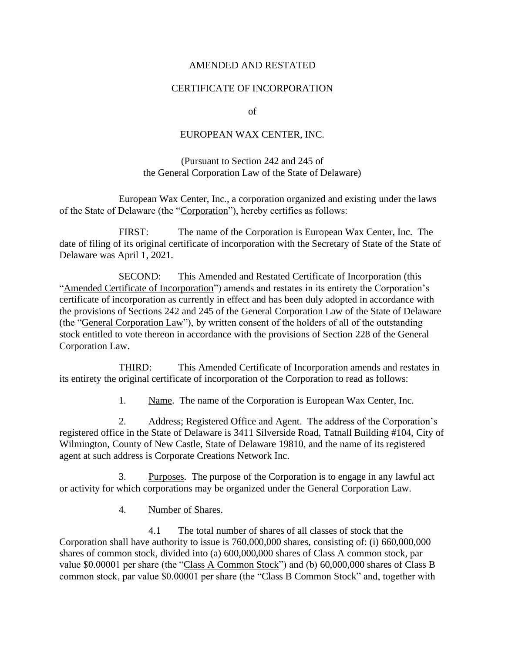## AMENDED AND RESTATED

# CERTIFICATE OF INCORPORATION

of

## EUROPEAN WAX CENTER, INC.

## (Pursuant to Section 242 and 245 of the General Corporation Law of the State of Delaware)

European Wax Center, Inc., a corporation organized and existing under the laws of the State of Delaware (the "Corporation"), hereby certifies as follows:

FIRST: The name of the Corporation is European Wax Center, Inc. The date of filing of its original certificate of incorporation with the Secretary of State of the State of Delaware was April 1, 2021.

SECOND: This Amended and Restated Certificate of Incorporation (this "Amended Certificate of Incorporation") amends and restates in its entirety the Corporation's certificate of incorporation as currently in effect and has been duly adopted in accordance with the provisions of Sections 242 and 245 of the General Corporation Law of the State of Delaware (the "General Corporation Law"), by written consent of the holders of all of the outstanding stock entitled to vote thereon in accordance with the provisions of Section 228 of the General Corporation Law.

THIRD: This Amended Certificate of Incorporation amends and restates in its entirety the original certificate of incorporation of the Corporation to read as follows:

1. Name. The name of the Corporation is European Wax Center, Inc.

2. Address; Registered Office and Agent. The address of the Corporation's registered office in the State of Delaware is 3411 Silverside Road, Tatnall Building #104, City of Wilmington, County of New Castle, State of Delaware 19810, and the name of its registered agent at such address is Corporate Creations Network Inc.

3. Purposes. The purpose of the Corporation is to engage in any lawful act or activity for which corporations may be organized under the General Corporation Law.

4. Number of Shares.

<span id="page-0-0"></span>4.1 The total number of shares of all classes of stock that the Corporation shall have authority to issue is 760,000,000 shares, consisting of: (i) 660,000,000 shares of common stock, divided into (a) 600,000,000 shares of Class A common stock, par value \$0.00001 per share (the "Class A Common Stock") and (b) 60,000,000 shares of Class B common stock, par value \$0.00001 per share (the "Class B Common Stock" and, together with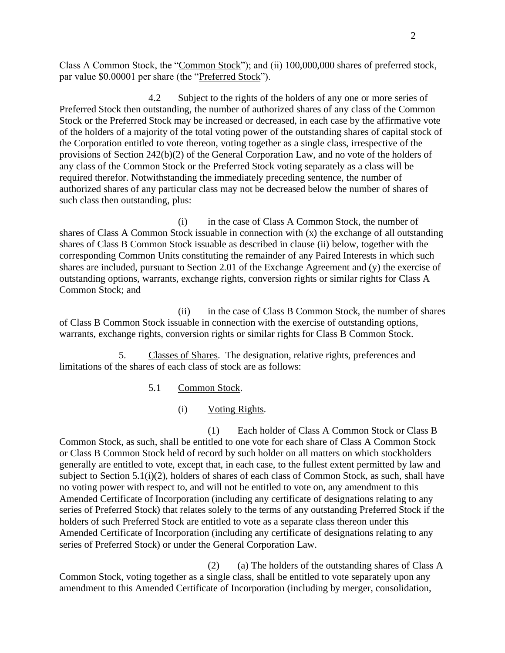Class A Common Stock, the "Common Stock"); and (ii) 100,000,000 shares of preferred stock, par value \$0.00001 per share (the "Preferred Stock").

4.2 Subject to the rights of the holders of any one or more series of Preferred Stock then outstanding, the number of authorized shares of any class of the Common Stock or the Preferred Stock may be increased or decreased, in each case by the affirmative vote of the holders of a majority of the total voting power of the outstanding shares of capital stock of the Corporation entitled to vote thereon, voting together as a single class, irrespective of the provisions of Section 242(b)(2) of the General Corporation Law, and no vote of the holders of any class of the Common Stock or the Preferred Stock voting separately as a class will be required therefor. Notwithstanding the immediately preceding sentence, the number of authorized shares of any particular class may not be decreased below the number of shares of such class then outstanding, plus:

(i) in the case of Class A Common Stock, the number of shares of Class A Common Stock issuable in connection with (x) the exchange of all outstanding shares of Class B Common Stock issuable as described in clause (ii) below, together with the corresponding Common Units constituting the remainder of any Paired Interests in which such shares are included, pursuant to Section 2.01 of the Exchange Agreement and (y) the exercise of outstanding options, warrants, exchange rights, conversion rights or similar rights for Class A Common Stock; and

(ii) in the case of Class B Common Stock, the number of shares of Class B Common Stock issuable in connection with the exercise of outstanding options, warrants, exchange rights, conversion rights or similar rights for Class B Common Stock.

<span id="page-1-1"></span>5. Classes of Shares. The designation, relative rights, preferences and limitations of the shares of each class of stock are as follows:

5.1 Common Stock.

(i) Voting Rights.

(1) Each holder of Class A Common Stock or Class B Common Stock, as such, shall be entitled to one vote for each share of Class A Common Stock or Class B Common Stock held of record by such holder on all matters on which stockholders generally are entitled to vote, except that, in each case, to the fullest extent permitted by law and subject to Section [5.1\(i\)\(2\),](#page-1-0) holders of shares of each class of Common Stock, as such, shall have no voting power with respect to, and will not be entitled to vote on, any amendment to this Amended Certificate of Incorporation (including any certificate of designations relating to any series of Preferred Stock) that relates solely to the terms of any outstanding Preferred Stock if the holders of such Preferred Stock are entitled to vote as a separate class thereon under this Amended Certificate of Incorporation (including any certificate of designations relating to any series of Preferred Stock) or under the General Corporation Law.

<span id="page-1-0"></span>(2) (a) The holders of the outstanding shares of Class A Common Stock, voting together as a single class, shall be entitled to vote separately upon any amendment to this Amended Certificate of Incorporation (including by merger, consolidation,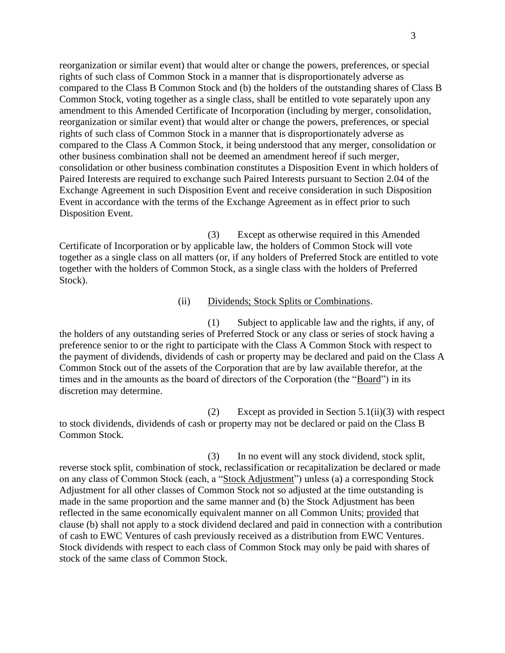reorganization or similar event) that would alter or change the powers, preferences, or special rights of such class of Common Stock in a manner that is disproportionately adverse as compared to the Class B Common Stock and (b) the holders of the outstanding shares of Class B Common Stock, voting together as a single class, shall be entitled to vote separately upon any amendment to this Amended Certificate of Incorporation (including by merger, consolidation, reorganization or similar event) that would alter or change the powers, preferences, or special rights of such class of Common Stock in a manner that is disproportionately adverse as compared to the Class A Common Stock, it being understood that any merger, consolidation or other business combination shall not be deemed an amendment hereof if such merger, consolidation or other business combination constitutes a Disposition Event in which holders of Paired Interests are required to exchange such Paired Interests pursuant to Section 2.04 of the Exchange Agreement in such Disposition Event and receive consideration in such Disposition Event in accordance with the terms of the Exchange Agreement as in effect prior to such Disposition Event.

(3) Except as otherwise required in this Amended Certificate of Incorporation or by applicable law, the holders of Common Stock will vote together as a single class on all matters (or, if any holders of Preferred Stock are entitled to vote together with the holders of Common Stock, as a single class with the holders of Preferred Stock).

#### (ii) Dividends; Stock Splits or Combinations.

<span id="page-2-1"></span>(1) Subject to applicable law and the rights, if any, of the holders of any outstanding series of Preferred Stock or any class or series of stock having a preference senior to or the right to participate with the Class A Common Stock with respect to the payment of dividends, dividends of cash or property may be declared and paid on the Class A Common Stock out of the assets of the Corporation that are by law available therefor, at the times and in the amounts as the board of directors of the Corporation (the "Board") in its discretion may determine.

(2) Except as provided in Section [5.1\(ii\)\(3\)](#page-2-0) with respect to stock dividends, dividends of cash or property may not be declared or paid on the Class B Common Stock.

<span id="page-2-0"></span>(3) In no event will any stock dividend, stock split, reverse stock split, combination of stock, reclassification or recapitalization be declared or made on any class of Common Stock (each, a "Stock Adjustment") unless (a) a corresponding Stock Adjustment for all other classes of Common Stock not so adjusted at the time outstanding is made in the same proportion and the same manner and (b) the Stock Adjustment has been reflected in the same economically equivalent manner on all Common Units; provided that clause (b) shall not apply to a stock dividend declared and paid in connection with a contribution of cash to EWC Ventures of cash previously received as a distribution from EWC Ventures. Stock dividends with respect to each class of Common Stock may only be paid with shares of stock of the same class of Common Stock.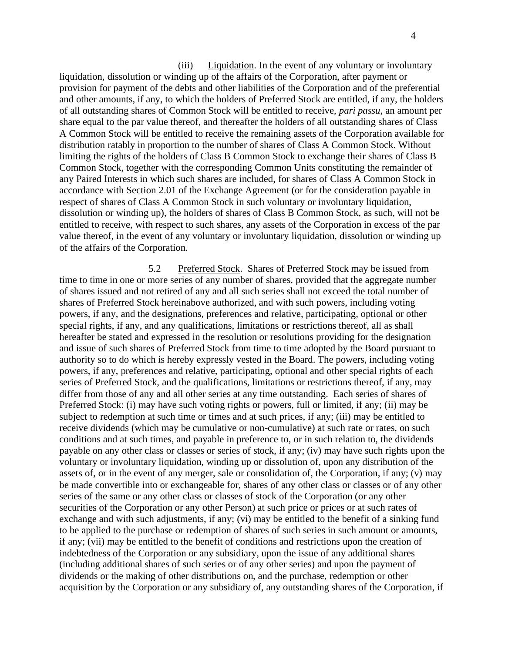(iii) Liquidation. In the event of any voluntary or involuntary liquidation, dissolution or winding up of the affairs of the Corporation, after payment or provision for payment of the debts and other liabilities of the Corporation and of the preferential and other amounts, if any, to which the holders of Preferred Stock are entitled, if any, the holders of all outstanding shares of Common Stock will be entitled to receive, *pari passu*, an amount per share equal to the par value thereof, and thereafter the holders of all outstanding shares of Class A Common Stock will be entitled to receive the remaining assets of the Corporation available for distribution ratably in proportion to the number of shares of Class A Common Stock. Without limiting the rights of the holders of Class B Common Stock to exchange their shares of Class B Common Stock, together with the corresponding Common Units constituting the remainder of any Paired Interests in which such shares are included, for shares of Class A Common Stock in accordance with Section 2.01 of the Exchange Agreement (or for the consideration payable in respect of shares of Class A Common Stock in such voluntary or involuntary liquidation, dissolution or winding up), the holders of shares of Class B Common Stock, as such, will not be entitled to receive, with respect to such shares, any assets of the Corporation in excess of the par value thereof, in the event of any voluntary or involuntary liquidation, dissolution or winding up of the affairs of the Corporation.

<span id="page-3-0"></span>5.2 Preferred Stock. Shares of Preferred Stock may be issued from time to time in one or more series of any number of shares, provided that the aggregate number of shares issued and not retired of any and all such series shall not exceed the total number of shares of Preferred Stock hereinabove authorized, and with such powers, including voting powers, if any, and the designations, preferences and relative, participating, optional or other special rights, if any, and any qualifications, limitations or restrictions thereof, all as shall hereafter be stated and expressed in the resolution or resolutions providing for the designation and issue of such shares of Preferred Stock from time to time adopted by the Board pursuant to authority so to do which is hereby expressly vested in the Board. The powers, including voting powers, if any, preferences and relative, participating, optional and other special rights of each series of Preferred Stock, and the qualifications, limitations or restrictions thereof, if any, may differ from those of any and all other series at any time outstanding. Each series of shares of Preferred Stock: (i) may have such voting rights or powers, full or limited, if any; (ii) may be subject to redemption at such time or times and at such prices, if any; (iii) may be entitled to receive dividends (which may be cumulative or non-cumulative) at such rate or rates, on such conditions and at such times, and payable in preference to, or in such relation to, the dividends payable on any other class or classes or series of stock, if any; (iv) may have such rights upon the voluntary or involuntary liquidation, winding up or dissolution of, upon any distribution of the assets of, or in the event of any merger, sale or consolidation of, the Corporation, if any; (v) may be made convertible into or exchangeable for, shares of any other class or classes or of any other series of the same or any other class or classes of stock of the Corporation (or any other securities of the Corporation or any other Person) at such price or prices or at such rates of exchange and with such adjustments, if any; (vi) may be entitled to the benefit of a sinking fund to be applied to the purchase or redemption of shares of such series in such amount or amounts, if any; (vii) may be entitled to the benefit of conditions and restrictions upon the creation of indebtedness of the Corporation or any subsidiary, upon the issue of any additional shares (including additional shares of such series or of any other series) and upon the payment of dividends or the making of other distributions on, and the purchase, redemption or other acquisition by the Corporation or any subsidiary of, any outstanding shares of the Corporation, if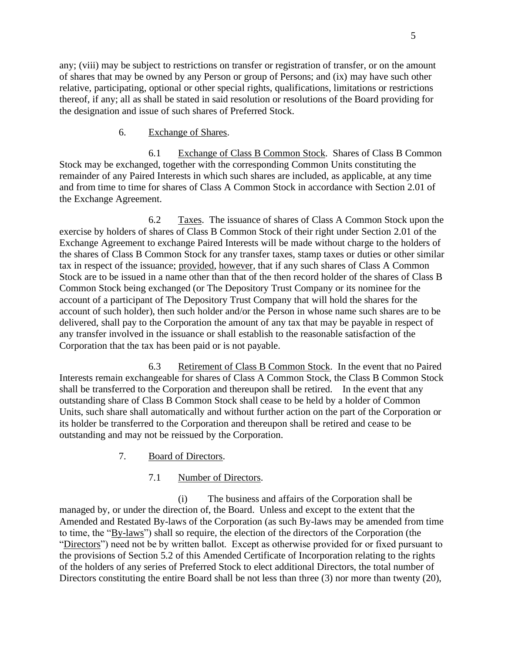any; (viii) may be subject to restrictions on transfer or registration of transfer, or on the amount of shares that may be owned by any Person or group of Persons; and (ix) may have such other relative, participating, optional or other special rights, qualifications, limitations or restrictions thereof, if any; all as shall be stated in said resolution or resolutions of the Board providing for the designation and issue of such shares of Preferred Stock.

6. Exchange of Shares.

6.1 Exchange of Class B Common Stock. Shares of Class B Common Stock may be exchanged, together with the corresponding Common Units constituting the remainder of any Paired Interests in which such shares are included, as applicable, at any time and from time to time for shares of Class A Common Stock in accordance with Section 2.01 of the Exchange Agreement.

6.2 Taxes. The issuance of shares of Class A Common Stock upon the exercise by holders of shares of Class B Common Stock of their right under Section 2.01 of the Exchange Agreement to exchange Paired Interests will be made without charge to the holders of the shares of Class B Common Stock for any transfer taxes, stamp taxes or duties or other similar tax in respect of the issuance; provided, however, that if any such shares of Class A Common Stock are to be issued in a name other than that of the then record holder of the shares of Class B Common Stock being exchanged (or The Depository Trust Company or its nominee for the account of a participant of The Depository Trust Company that will hold the shares for the account of such holder), then such holder and/or the Person in whose name such shares are to be delivered, shall pay to the Corporation the amount of any tax that may be payable in respect of any transfer involved in the issuance or shall establish to the reasonable satisfaction of the Corporation that the tax has been paid or is not payable.

6.3 Retirement of Class B Common Stock. In the event that no Paired Interests remain exchangeable for shares of Class A Common Stock, the Class B Common Stock shall be transferred to the Corporation and thereupon shall be retired. In the event that any outstanding share of Class B Common Stock shall cease to be held by a holder of Common Units, such share shall automatically and without further action on the part of the Corporation or its holder be transferred to the Corporation and thereupon shall be retired and cease to be outstanding and may not be reissued by the Corporation.

- 7. Board of Directors.
	- 7.1 Number of Directors.

<span id="page-4-1"></span><span id="page-4-0"></span>(i) The business and affairs of the Corporation shall be managed by, or under the direction of, the Board. Unless and except to the extent that the Amended and Restated By-laws of the Corporation (as such By-laws may be amended from time to time, the "By-laws") shall so require, the election of the directors of the Corporation (the "Directors") need not be by written ballot. Except as otherwise provided for or fixed pursuant to the provisions of Section [5.2](#page-3-0) of this Amended Certificate of Incorporation relating to the rights of the holders of any series of Preferred Stock to elect additional Directors, the total number of Directors constituting the entire Board shall be not less than three (3) nor more than twenty (20),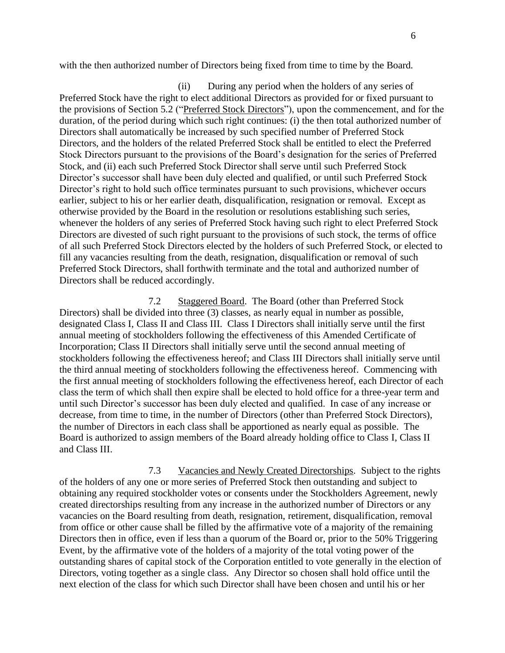with the then authorized number of Directors being fixed from time to time by the Board.

(ii) During any period when the holders of any series of Preferred Stock have the right to elect additional Directors as provided for or fixed pursuant to the provisions of Section [5.2](#page-3-0) ("Preferred Stock Directors"), upon the commencement, and for the duration, of the period during which such right continues: (i) the then total authorized number of Directors shall automatically be increased by such specified number of Preferred Stock Directors, and the holders of the related Preferred Stock shall be entitled to elect the Preferred Stock Directors pursuant to the provisions of the Board's designation for the series of Preferred Stock, and (ii) each such Preferred Stock Director shall serve until such Preferred Stock Director's successor shall have been duly elected and qualified, or until such Preferred Stock Director's right to hold such office terminates pursuant to such provisions, whichever occurs earlier, subject to his or her earlier death, disqualification, resignation or removal. Except as otherwise provided by the Board in the resolution or resolutions establishing such series, whenever the holders of any series of Preferred Stock having such right to elect Preferred Stock Directors are divested of such right pursuant to the provisions of such stock, the terms of office of all such Preferred Stock Directors elected by the holders of such Preferred Stock, or elected to fill any vacancies resulting from the death, resignation, disqualification or removal of such Preferred Stock Directors, shall forthwith terminate and the total and authorized number of Directors shall be reduced accordingly.

<span id="page-5-0"></span>7.2 Staggered Board. The Board (other than Preferred Stock Directors) shall be divided into three (3) classes, as nearly equal in number as possible, designated Class I, Class II and Class III. Class I Directors shall initially serve until the first annual meeting of stockholders following the effectiveness of this Amended Certificate of Incorporation; Class II Directors shall initially serve until the second annual meeting of stockholders following the effectiveness hereof; and Class III Directors shall initially serve until the third annual meeting of stockholders following the effectiveness hereof. Commencing with the first annual meeting of stockholders following the effectiveness hereof, each Director of each class the term of which shall then expire shall be elected to hold office for a three-year term and until such Director's successor has been duly elected and qualified. In case of any increase or decrease, from time to time, in the number of Directors (other than Preferred Stock Directors), the number of Directors in each class shall be apportioned as nearly equal as possible. The Board is authorized to assign members of the Board already holding office to Class I, Class II and Class III.

<span id="page-5-1"></span>7.3 Vacancies and Newly Created Directorships. Subject to the rights of the holders of any one or more series of Preferred Stock then outstanding and subject to obtaining any required stockholder votes or consents under the Stockholders Agreement, newly created directorships resulting from any increase in the authorized number of Directors or any vacancies on the Board resulting from death, resignation, retirement, disqualification, removal from office or other cause shall be filled by the affirmative vote of a majority of the remaining Directors then in office, even if less than a quorum of the Board or, prior to the 50% Triggering Event, by the affirmative vote of the holders of a majority of the total voting power of the outstanding shares of capital stock of the Corporation entitled to vote generally in the election of Directors, voting together as a single class. Any Director so chosen shall hold office until the next election of the class for which such Director shall have been chosen and until his or her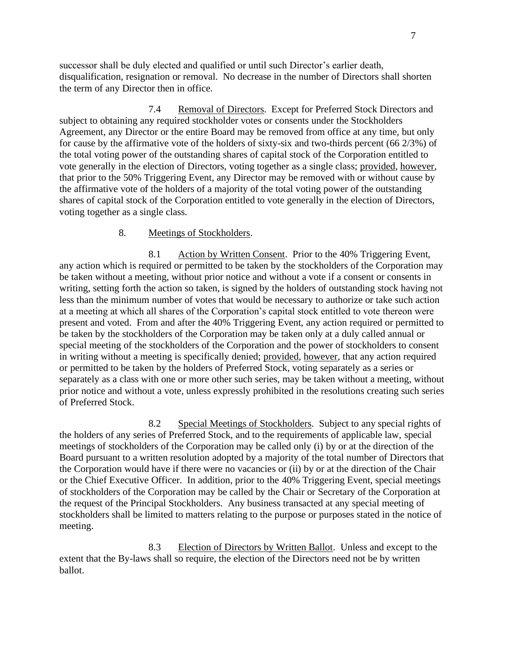successor shall be duly elected and qualified or until such Director's earlier death, disqualification, resignation or removal. No decrease in the number of Directors shall shorten the term of any Director then in office.

<span id="page-6-0"></span>7.4 Removal of Directors. Except for Preferred Stock Directors and subject to obtaining any required stockholder votes or consents under the Stockholders Agreement, any Director or the entire Board may be removed from office at any time, but only for cause by the affirmative vote of the holders of sixty-six and two-thirds percent (66 2/3%) of the total voting power of the outstanding shares of capital stock of the Corporation entitled to vote generally in the election of Directors, voting together as a single class; provided, however, that prior to the 50% Triggering Event, any Director may be removed with or without cause by the affirmative vote of the holders of a majority of the total voting power of the outstanding shares of capital stock of the Corporation entitled to vote generally in the election of Directors, voting together as a single class.

# 8. Meetings of Stockholders.

<span id="page-6-3"></span><span id="page-6-1"></span>8.1 Action by Written Consent. Prior to the 40% Triggering Event, any action which is required or permitted to be taken by the stockholders of the Corporation may be taken without a meeting, without prior notice and without a vote if a consent or consents in writing, setting forth the action so taken, is signed by the holders of outstanding stock having not less than the minimum number of votes that would be necessary to authorize or take such action at a meeting at which all shares of the Corporation's capital stock entitled to vote thereon were present and voted. From and after the 40% Triggering Event, any action required or permitted to be taken by the stockholders of the Corporation may be taken only at a duly called annual or special meeting of the stockholders of the Corporation and the power of stockholders to consent in writing without a meeting is specifically denied; provided, however, that any action required or permitted to be taken by the holders of Preferred Stock, voting separately as a series or separately as a class with one or more other such series, may be taken without a meeting, without prior notice and without a vote, unless expressly prohibited in the resolutions creating such series of Preferred Stock.

<span id="page-6-2"></span>8.2 Special Meetings of Stockholders. Subject to any special rights of the holders of any series of Preferred Stock, and to the requirements of applicable law, special meetings of stockholders of the Corporation may be called only (i) by or at the direction of the Board pursuant to a written resolution adopted by a majority of the total number of Directors that the Corporation would have if there were no vacancies or (ii) by or at the direction of the Chair or the Chief Executive Officer. In addition, prior to the 40% Triggering Event, special meetings of stockholders of the Corporation may be called by the Chair or Secretary of the Corporation at the request of the Principal Stockholders. Any business transacted at any special meeting of stockholders shall be limited to matters relating to the purpose or purposes stated in the notice of meeting.

8.3 Election of Directors by Written Ballot. Unless and except to the extent that the By-laws shall so require, the election of the Directors need not be by written ballot.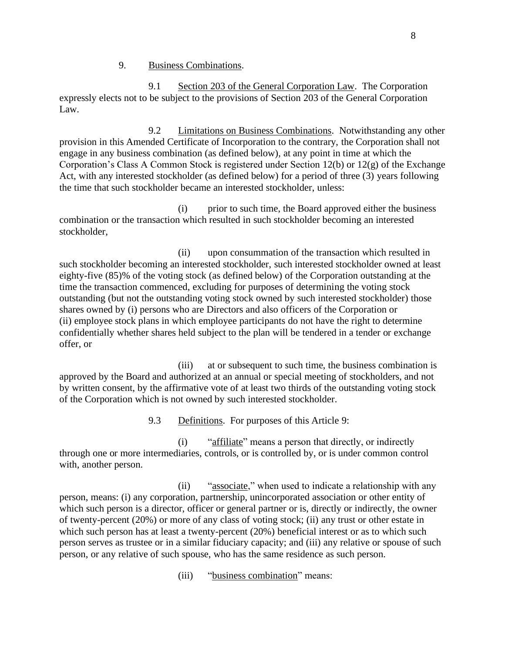9. Business Combinations.

<span id="page-7-0"></span>9.1 Section 203 of the General Corporation Law. The Corporation expressly elects not to be subject to the provisions of Section 203 of the General Corporation Law.

<span id="page-7-1"></span>9.2 Limitations on Business Combinations. Notwithstanding any other provision in this Amended Certificate of Incorporation to the contrary, the Corporation shall not engage in any business combination (as defined below), at any point in time at which the Corporation's Class A Common Stock is registered under Section 12(b) or 12(g) of the Exchange Act, with any interested stockholder (as defined below) for a period of three (3) years following the time that such stockholder became an interested stockholder, unless:

(i) prior to such time, the Board approved either the business combination or the transaction which resulted in such stockholder becoming an interested stockholder,

(ii) upon consummation of the transaction which resulted in such stockholder becoming an interested stockholder, such interested stockholder owned at least eighty-five (85)% of the voting stock (as defined below) of the Corporation outstanding at the time the transaction commenced, excluding for purposes of determining the voting stock outstanding (but not the outstanding voting stock owned by such interested stockholder) those shares owned by (i) persons who are Directors and also officers of the Corporation or (ii) employee stock plans in which employee participants do not have the right to determine confidentially whether shares held subject to the plan will be tendered in a tender or exchange offer, or

(iii) at or subsequent to such time, the business combination is approved by the Board and authorized at an annual or special meeting of stockholders, and not by written consent, by the affirmative vote of at least two thirds of the outstanding voting stock of the Corporation which is not owned by such interested stockholder.

9.3 Definitions. For purposes of this Article [9:](#page-7-0)

(i) "affiliate" means a person that directly, or indirectly through one or more intermediaries, controls, or is controlled by, or is under common control with, another person.

(ii) "associate," when used to indicate a relationship with any person, means: (i) any corporation, partnership, unincorporated association or other entity of which such person is a director, officer or general partner or is, directly or indirectly, the owner of twenty-percent (20%) or more of any class of voting stock; (ii) any trust or other estate in which such person has at least a twenty-percent (20%) beneficial interest or as to which such person serves as trustee or in a similar fiduciary capacity; and (iii) any relative or spouse of such person, or any relative of such spouse, who has the same residence as such person.

(iii) "business combination" means: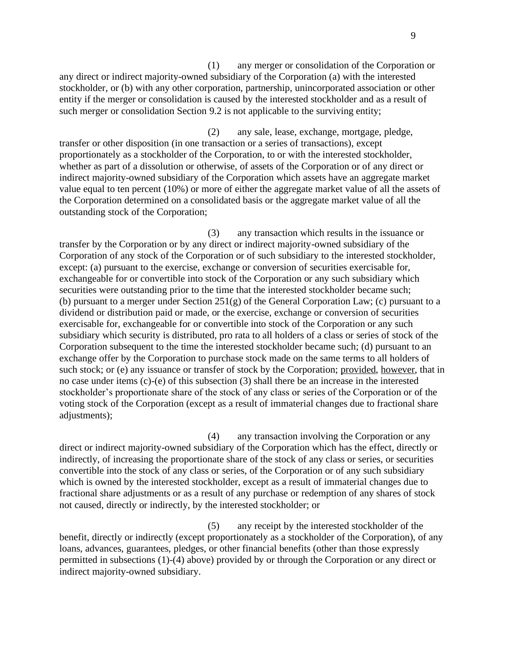<span id="page-8-1"></span>(1) any merger or consolidation of the Corporation or any direct or indirect majority-owned subsidiary of the Corporation (a) with the interested stockholder, or (b) with any other corporation, partnership, unincorporated association or other entity if the merger or consolidation is caused by the interested stockholder and as a result of such merger or consolidation Section [9.2](#page-7-1) is not applicable to the surviving entity;

(2) any sale, lease, exchange, mortgage, pledge, transfer or other disposition (in one transaction or a series of transactions), except proportionately as a stockholder of the Corporation, to or with the interested stockholder, whether as part of a dissolution or otherwise, of assets of the Corporation or of any direct or indirect majority-owned subsidiary of the Corporation which assets have an aggregate market value equal to ten percent (10%) or more of either the aggregate market value of all the assets of the Corporation determined on a consolidated basis or the aggregate market value of all the outstanding stock of the Corporation;

<span id="page-8-0"></span>(3) any transaction which results in the issuance or transfer by the Corporation or by any direct or indirect majority-owned subsidiary of the Corporation of any stock of the Corporation or of such subsidiary to the interested stockholder, except: (a) pursuant to the exercise, exchange or conversion of securities exercisable for, exchangeable for or convertible into stock of the Corporation or any such subsidiary which securities were outstanding prior to the time that the interested stockholder became such; (b) pursuant to a merger under Section 251(g) of the General Corporation Law; (c) pursuant to a dividend or distribution paid or made, or the exercise, exchange or conversion of securities exercisable for, exchangeable for or convertible into stock of the Corporation or any such subsidiary which security is distributed, pro rata to all holders of a class or series of stock of the Corporation subsequent to the time the interested stockholder became such; (d) pursuant to an exchange offer by the Corporation to purchase stock made on the same terms to all holders of such stock; or (e) any issuance or transfer of stock by the Corporation; provided, however, that in no case under items (c)-(e) of this subsection [\(3\)](#page-8-0) shall there be an increase in the interested stockholder's proportionate share of the stock of any class or series of the Corporation or of the voting stock of the Corporation (except as a result of immaterial changes due to fractional share adjustments);

<span id="page-8-2"></span>(4) any transaction involving the Corporation or any direct or indirect majority-owned subsidiary of the Corporation which has the effect, directly or indirectly, of increasing the proportionate share of the stock of any class or series, or securities convertible into the stock of any class or series, of the Corporation or of any such subsidiary which is owned by the interested stockholder, except as a result of immaterial changes due to fractional share adjustments or as a result of any purchase or redemption of any shares of stock not caused, directly or indirectly, by the interested stockholder; or

(5) any receipt by the interested stockholder of the benefit, directly or indirectly (except proportionately as a stockholder of the Corporation), of any loans, advances, guarantees, pledges, or other financial benefits (other than those expressly permitted in subsections [\(1\)](#page-8-1)[-\(4\)](#page-8-2) above) provided by or through the Corporation or any direct or indirect majority-owned subsidiary.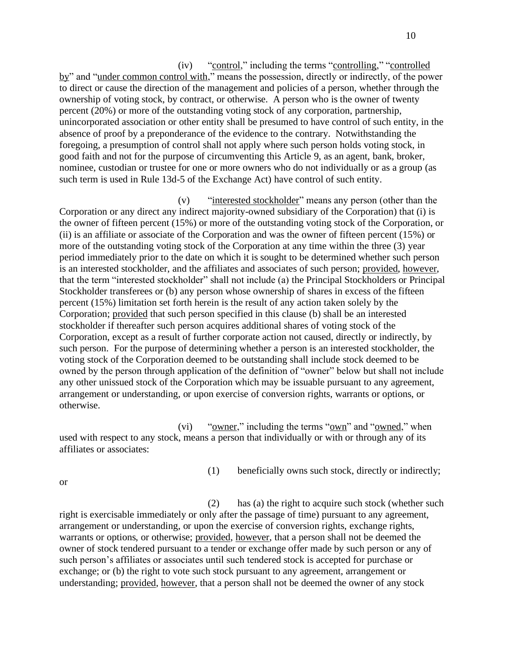(iv) "control," including the terms "controlling," "controlled by" and "under common control with," means the possession, directly or indirectly, of the power to direct or cause the direction of the management and policies of a person, whether through the ownership of voting stock, by contract, or otherwise. A person who is the owner of twenty percent (20%) or more of the outstanding voting stock of any corporation, partnership, unincorporated association or other entity shall be presumed to have control of such entity, in the absence of proof by a preponderance of the evidence to the contrary. Notwithstanding the foregoing, a presumption of control shall not apply where such person holds voting stock, in good faith and not for the purpose of circumventing this Article [9,](#page-7-0) as an agent, bank, broker, nominee, custodian or trustee for one or more owners who do not individually or as a group (as such term is used in Rule 13d-5 of the Exchange Act) have control of such entity.

(v) "interested stockholder" means any person (other than the Corporation or any direct any indirect majority-owned subsidiary of the Corporation) that (i) is the owner of fifteen percent (15%) or more of the outstanding voting stock of the Corporation, or (ii) is an affiliate or associate of the Corporation and was the owner of fifteen percent (15%) or more of the outstanding voting stock of the Corporation at any time within the three (3) year period immediately prior to the date on which it is sought to be determined whether such person is an interested stockholder, and the affiliates and associates of such person; provided, however, that the term "interested stockholder" shall not include (a) the Principal Stockholders or Principal Stockholder transferees or (b) any person whose ownership of shares in excess of the fifteen percent (15%) limitation set forth herein is the result of any action taken solely by the Corporation; provided that such person specified in this clause (b) shall be an interested stockholder if thereafter such person acquires additional shares of voting stock of the Corporation, except as a result of further corporate action not caused, directly or indirectly, by such person. For the purpose of determining whether a person is an interested stockholder, the voting stock of the Corporation deemed to be outstanding shall include stock deemed to be owned by the person through application of the definition of "owner" below but shall not include any other unissued stock of the Corporation which may be issuable pursuant to any agreement, arrangement or understanding, or upon exercise of conversion rights, warrants or options, or otherwise.

(vi) "owner," including the terms "own" and "owned," when used with respect to any stock, means a person that individually or with or through any of its affiliates or associates:

(1) beneficially owns such stock, directly or indirectly;

<span id="page-9-0"></span>(2) has (a) the right to acquire such stock (whether such right is exercisable immediately or only after the passage of time) pursuant to any agreement, arrangement or understanding, or upon the exercise of conversion rights, exchange rights, warrants or options, or otherwise; provided, however, that a person shall not be deemed the owner of stock tendered pursuant to a tender or exchange offer made by such person or any of such person's affiliates or associates until such tendered stock is accepted for purchase or exchange; or (b) the right to vote such stock pursuant to any agreement, arrangement or understanding; provided, however, that a person shall not be deemed the owner of any stock

or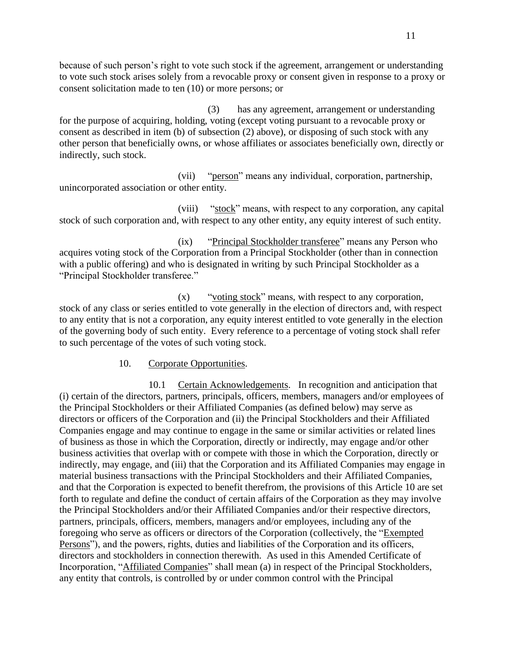because of such person's right to vote such stock if the agreement, arrangement or understanding to vote such stock arises solely from a revocable proxy or consent given in response to a proxy or consent solicitation made to ten (10) or more persons; or

(3) has any agreement, arrangement or understanding for the purpose of acquiring, holding, voting (except voting pursuant to a revocable proxy or consent as described in item (b) of subsection [\(2\)](#page-9-0) above), or disposing of such stock with any other person that beneficially owns, or whose affiliates or associates beneficially own, directly or indirectly, such stock.

(vii) "person" means any individual, corporation, partnership, unincorporated association or other entity.

(viii) "stock" means, with respect to any corporation, any capital stock of such corporation and, with respect to any other entity, any equity interest of such entity.

(ix) "Principal Stockholder transferee" means any Person who acquires voting stock of the Corporation from a Principal Stockholder (other than in connection with a public offering) and who is designated in writing by such Principal Stockholder as a "Principal Stockholder transferee."

(x) "voting stock" means, with respect to any corporation, stock of any class or series entitled to vote generally in the election of directors and, with respect to any entity that is not a corporation, any equity interest entitled to vote generally in the election of the governing body of such entity. Every reference to a percentage of voting stock shall refer to such percentage of the votes of such voting stock.

10. Corporate Opportunities.

<span id="page-10-1"></span><span id="page-10-0"></span>10.1 Certain Acknowledgements. In recognition and anticipation that (i) certain of the directors, partners, principals, officers, members, managers and/or employees of the Principal Stockholders or their Affiliated Companies (as defined below) may serve as directors or officers of the Corporation and (ii) the Principal Stockholders and their Affiliated Companies engage and may continue to engage in the same or similar activities or related lines of business as those in which the Corporation, directly or indirectly, may engage and/or other business activities that overlap with or compete with those in which the Corporation, directly or indirectly, may engage, and (iii) that the Corporation and its Affiliated Companies may engage in material business transactions with the Principal Stockholders and their Affiliated Companies, and that the Corporation is expected to benefit therefrom, the provisions of this Article [10](#page-10-0) are set forth to regulate and define the conduct of certain affairs of the Corporation as they may involve the Principal Stockholders and/or their Affiliated Companies and/or their respective directors, partners, principals, officers, members, managers and/or employees, including any of the foregoing who serve as officers or directors of the Corporation (collectively, the "Exempted Persons"), and the powers, rights, duties and liabilities of the Corporation and its officers, directors and stockholders in connection therewith. As used in this Amended Certificate of Incorporation, "Affiliated Companies" shall mean (a) in respect of the Principal Stockholders, any entity that controls, is controlled by or under common control with the Principal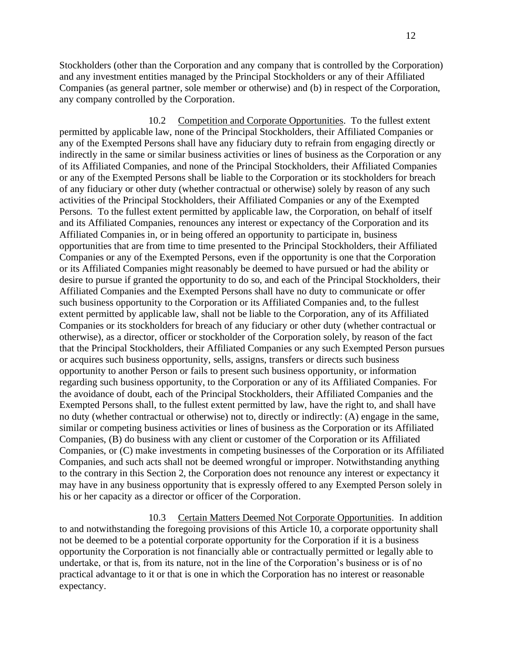Stockholders (other than the Corporation and any company that is controlled by the Corporation) and any investment entities managed by the Principal Stockholders or any of their Affiliated Companies (as general partner, sole member or otherwise) and (b) in respect of the Corporation, any company controlled by the Corporation.

10.2 Competition and Corporate Opportunities. To the fullest extent permitted by applicable law, none of the Principal Stockholders, their Affiliated Companies or any of the Exempted Persons shall have any fiduciary duty to refrain from engaging directly or indirectly in the same or similar business activities or lines of business as the Corporation or any of its Affiliated Companies, and none of the Principal Stockholders, their Affiliated Companies or any of the Exempted Persons shall be liable to the Corporation or its stockholders for breach of any fiduciary or other duty (whether contractual or otherwise) solely by reason of any such activities of the Principal Stockholders, their Affiliated Companies or any of the Exempted Persons. To the fullest extent permitted by applicable law, the Corporation, on behalf of itself and its Affiliated Companies, renounces any interest or expectancy of the Corporation and its Affiliated Companies in, or in being offered an opportunity to participate in, business opportunities that are from time to time presented to the Principal Stockholders, their Affiliated Companies or any of the Exempted Persons, even if the opportunity is one that the Corporation or its Affiliated Companies might reasonably be deemed to have pursued or had the ability or desire to pursue if granted the opportunity to do so, and each of the Principal Stockholders, their Affiliated Companies and the Exempted Persons shall have no duty to communicate or offer such business opportunity to the Corporation or its Affiliated Companies and, to the fullest extent permitted by applicable law, shall not be liable to the Corporation, any of its Affiliated Companies or its stockholders for breach of any fiduciary or other duty (whether contractual or otherwise), as a director, officer or stockholder of the Corporation solely, by reason of the fact that the Principal Stockholders, their Affiliated Companies or any such Exempted Person pursues or acquires such business opportunity, sells, assigns, transfers or directs such business opportunity to another Person or fails to present such business opportunity, or information regarding such business opportunity, to the Corporation or any of its Affiliated Companies. For the avoidance of doubt, each of the Principal Stockholders, their Affiliated Companies and the Exempted Persons shall, to the fullest extent permitted by law, have the right to, and shall have no duty (whether contractual or otherwise) not to, directly or indirectly: (A) engage in the same, similar or competing business activities or lines of business as the Corporation or its Affiliated Companies, (B) do business with any client or customer of the Corporation or its Affiliated Companies, or (C) make investments in competing businesses of the Corporation or its Affiliated Companies, and such acts shall not be deemed wrongful or improper. Notwithstanding anything to the contrary in this Section 2, the Corporation does not renounce any interest or expectancy it may have in any business opportunity that is expressly offered to any Exempted Person solely in his or her capacity as a director or officer of the Corporation.

10.3 Certain Matters Deemed Not Corporate Opportunities. In addition to and notwithstanding the foregoing provisions of this Article [10,](#page-10-0) a corporate opportunity shall not be deemed to be a potential corporate opportunity for the Corporation if it is a business opportunity the Corporation is not financially able or contractually permitted or legally able to undertake, or that is, from its nature, not in the line of the Corporation's business or is of no practical advantage to it or that is one in which the Corporation has no interest or reasonable expectancy.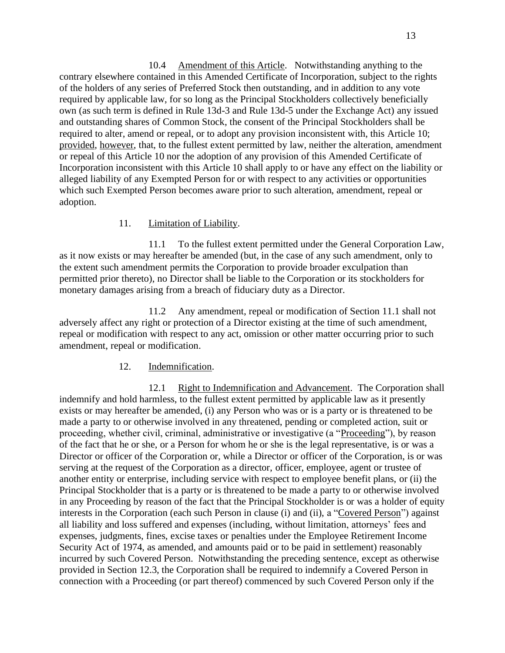10.4 Amendment of this Article. Notwithstanding anything to the contrary elsewhere contained in this Amended Certificate of Incorporation, subject to the rights of the holders of any series of Preferred Stock then outstanding, and in addition to any vote required by applicable law, for so long as the Principal Stockholders collectively beneficially own (as such term is defined in Rule 13d-3 and Rule 13d-5 under the Exchange Act) any issued and outstanding shares of Common Stock, the consent of the Principal Stockholders shall be required to alter, amend or repeal, or to adopt any provision inconsistent with, this Article [10;](#page-10-0) provided, however, that, to the fullest extent permitted by law, neither the alteration, amendment or repeal of this Article [10](#page-10-0) nor the adoption of any provision of this Amended Certificate of Incorporation inconsistent with this Article [10](#page-10-0) shall apply to or have any effect on the liability or alleged liability of any Exempted Person for or with respect to any activities or opportunities which such Exempted Person becomes aware prior to such alteration, amendment, repeal or adoption.

### 11. Limitation of Liability.

<span id="page-12-0"></span>11.1 To the fullest extent permitted under the General Corporation Law, as it now exists or may hereafter be amended (but, in the case of any such amendment, only to the extent such amendment permits the Corporation to provide broader exculpation than permitted prior thereto), no Director shall be liable to the Corporation or its stockholders for monetary damages arising from a breach of fiduciary duty as a Director.

11.2 Any amendment, repeal or modification of Section [11.1](#page-12-0) shall not adversely affect any right or protection of a Director existing at the time of such amendment, repeal or modification with respect to any act, omission or other matter occurring prior to such amendment, repeal or modification.

### <span id="page-12-2"></span>12. Indemnification.

<span id="page-12-3"></span><span id="page-12-1"></span>12.1 Right to Indemnification and Advancement. The Corporation shall indemnify and hold harmless, to the fullest extent permitted by applicable law as it presently exists or may hereafter be amended, (i) any Person who was or is a party or is threatened to be made a party to or otherwise involved in any threatened, pending or completed action, suit or proceeding, whether civil, criminal, administrative or investigative (a "Proceeding"), by reason of the fact that he or she, or a Person for whom he or she is the legal representative, is or was a Director or officer of the Corporation or, while a Director or officer of the Corporation, is or was serving at the request of the Corporation as a director, officer, employee, agent or trustee of another entity or enterprise, including service with respect to employee benefit plans, or (ii) the Principal Stockholder that is a party or is threatened to be made a party to or otherwise involved in any Proceeding by reason of the fact that the Principal Stockholder is or was a holder of equity interests in the Corporation (each such Person in clause (i) and (ii), a "Covered Person") against all liability and loss suffered and expenses (including, without limitation, attorneys' fees and expenses, judgments, fines, excise taxes or penalties under the Employee Retirement Income Security Act of 1974, as amended, and amounts paid or to be paid in settlement) reasonably incurred by such Covered Person. Notwithstanding the preceding sentence, except as otherwise provided in Section [12.3,](#page-13-0) the Corporation shall be required to indemnify a Covered Person in connection with a Proceeding (or part thereof) commenced by such Covered Person only if the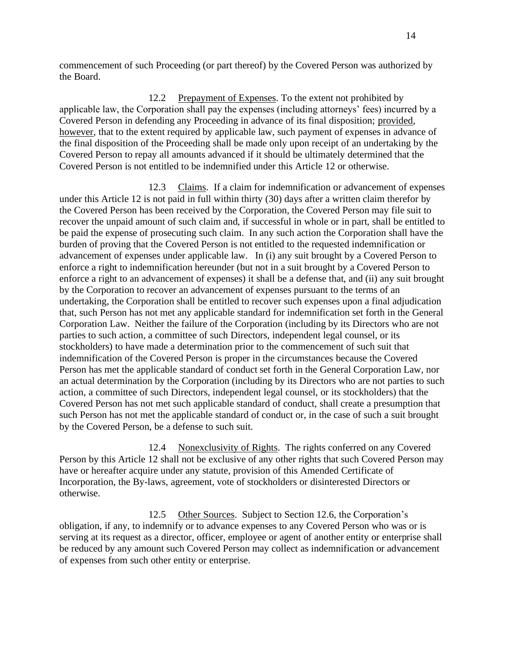commencement of such Proceeding (or part thereof) by the Covered Person was authorized by the Board.

12.2 Prepayment of Expenses. To the extent not prohibited by applicable law, the Corporation shall pay the expenses (including attorneys' fees) incurred by a Covered Person in defending any Proceeding in advance of its final disposition; provided, however, that to the extent required by applicable law, such payment of expenses in advance of the final disposition of the Proceeding shall be made only upon receipt of an undertaking by the Covered Person to repay all amounts advanced if it should be ultimately determined that the Covered Person is not entitled to be indemnified under this Article [12](#page-12-1) or otherwise.

<span id="page-13-0"></span>12.3 Claims. If a claim for indemnification or advancement of expenses under this Article [12](#page-12-1) is not paid in full within thirty (30) days after a written claim therefor by the Covered Person has been received by the Corporation, the Covered Person may file suit to recover the unpaid amount of such claim and, if successful in whole or in part, shall be entitled to be paid the expense of prosecuting such claim. In any such action the Corporation shall have the burden of proving that the Covered Person is not entitled to the requested indemnification or advancement of expenses under applicable law. In (i) any suit brought by a Covered Person to enforce a right to indemnification hereunder (but not in a suit brought by a Covered Person to enforce a right to an advancement of expenses) it shall be a defense that, and (ii) any suit brought by the Corporation to recover an advancement of expenses pursuant to the terms of an undertaking, the Corporation shall be entitled to recover such expenses upon a final adjudication that, such Person has not met any applicable standard for indemnification set forth in the General Corporation Law. Neither the failure of the Corporation (including by its Directors who are not parties to such action, a committee of such Directors, independent legal counsel, or its stockholders) to have made a determination prior to the commencement of such suit that indemnification of the Covered Person is proper in the circumstances because the Covered Person has met the applicable standard of conduct set forth in the General Corporation Law, nor an actual determination by the Corporation (including by its Directors who are not parties to such action, a committee of such Directors, independent legal counsel, or its stockholders) that the Covered Person has not met such applicable standard of conduct, shall create a presumption that such Person has not met the applicable standard of conduct or, in the case of such a suit brought by the Covered Person, be a defense to such suit.

12.4 Nonexclusivity of Rights. The rights conferred on any Covered Person by this Article [12](#page-12-1) shall not be exclusive of any other rights that such Covered Person may have or hereafter acquire under any statute, provision of this Amended Certificate of Incorporation, the By-laws, agreement, vote of stockholders or disinterested Directors or otherwise.

12.5 Other Sources. Subject to Section [12.6,](#page-14-0) the Corporation's obligation, if any, to indemnify or to advance expenses to any Covered Person who was or is serving at its request as a director, officer, employee or agent of another entity or enterprise shall be reduced by any amount such Covered Person may collect as indemnification or advancement of expenses from such other entity or enterprise.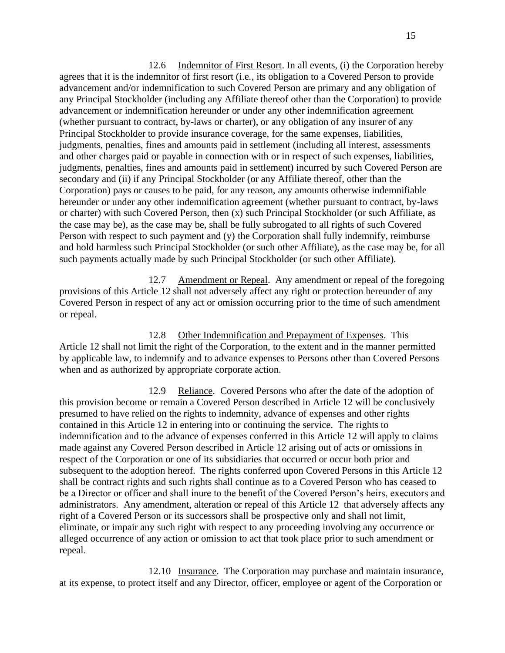<span id="page-14-0"></span>12.6 Indemnitor of First Resort. In all events, (i) the Corporation hereby agrees that it is the indemnitor of first resort (i.e., its obligation to a Covered Person to provide advancement and/or indemnification to such Covered Person are primary and any obligation of any Principal Stockholder (including any Affiliate thereof other than the Corporation) to provide advancement or indemnification hereunder or under any other indemnification agreement (whether pursuant to contract, by-laws or charter), or any obligation of any insurer of any Principal Stockholder to provide insurance coverage, for the same expenses, liabilities, judgments, penalties, fines and amounts paid in settlement (including all interest, assessments and other charges paid or payable in connection with or in respect of such expenses, liabilities, judgments, penalties, fines and amounts paid in settlement) incurred by such Covered Person are secondary and (ii) if any Principal Stockholder (or any Affiliate thereof, other than the Corporation) pays or causes to be paid, for any reason, any amounts otherwise indemnifiable hereunder or under any other indemnification agreement (whether pursuant to contract, by-laws or charter) with such Covered Person, then (x) such Principal Stockholder (or such Affiliate, as the case may be), as the case may be, shall be fully subrogated to all rights of such Covered Person with respect to such payment and (y) the Corporation shall fully indemnify, reimburse and hold harmless such Principal Stockholder (or such other Affiliate), as the case may be, for all such payments actually made by such Principal Stockholder (or such other Affiliate).

12.7 Amendment or Repeal. Any amendment or repeal of the foregoing provisions of this Article [12](#page-12-1) shall not adversely affect any right or protection hereunder of any Covered Person in respect of any act or omission occurring prior to the time of such amendment or repeal.

12.8 Other Indemnification and Prepayment of Expenses. This Article [12](#page-12-1) shall not limit the right of the Corporation, to the extent and in the manner permitted by applicable law, to indemnify and to advance expenses to Persons other than Covered Persons when and as authorized by appropriate corporate action.

12.9 Reliance. Covered Persons who after the date of the adoption of this provision become or remain a Covered Person described in Article [12](#page-12-2) will be conclusively presumed to have relied on the rights to indemnity, advance of expenses and other rights contained in this Article [12](#page-12-1) in entering into or continuing the service. The rights to indemnification and to the advance of expenses conferred in this Article [12](#page-12-1) will apply to claims made against any Covered Person described in Article [12](#page-12-2) arising out of acts or omissions in respect of the Corporation or one of its subsidiaries that occurred or occur both prior and subsequent to the adoption hereof. The rights conferred upon Covered Persons in this Article [12](#page-12-1) shall be contract rights and such rights shall continue as to a Covered Person who has ceased to be a Director or officer and shall inure to the benefit of the Covered Person's heirs, executors and administrators. Any amendment, alteration or repeal of this Article [12](#page-12-1) that adversely affects any right of a Covered Person or its successors shall be prospective only and shall not limit, eliminate, or impair any such right with respect to any proceeding involving any occurrence or alleged occurrence of any action or omission to act that took place prior to such amendment or repeal.

12.10 Insurance. The Corporation may purchase and maintain insurance, at its expense, to protect itself and any Director, officer, employee or agent of the Corporation or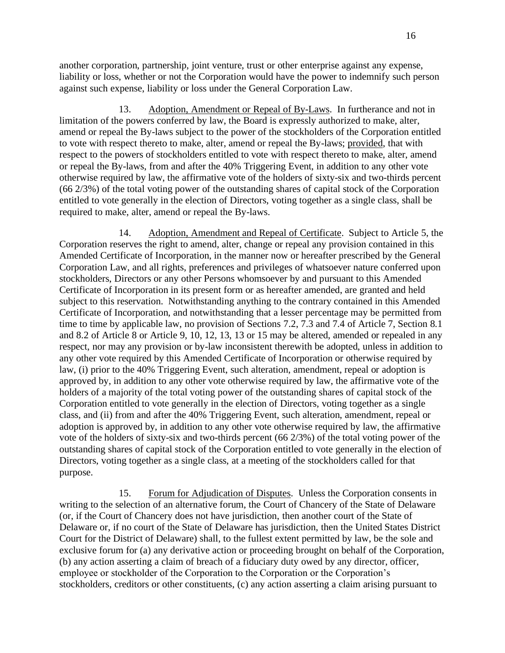another corporation, partnership, joint venture, trust or other enterprise against any expense, liability or loss, whether or not the Corporation would have the power to indemnify such person against such expense, liability or loss under the General Corporation Law.

<span id="page-15-0"></span>13. Adoption, Amendment or Repeal of By-Laws. In furtherance and not in limitation of the powers conferred by law, the Board is expressly authorized to make, alter, amend or repeal the By-laws subject to the power of the stockholders of the Corporation entitled to vote with respect thereto to make, alter, amend or repeal the By-laws; provided, that with respect to the powers of stockholders entitled to vote with respect thereto to make, alter, amend or repeal the By-laws, from and after the 40% Triggering Event, in addition to any other vote otherwise required by law, the affirmative vote of the holders of sixty-six and two-thirds percent (66 2/3%) of the total voting power of the outstanding shares of capital stock of the Corporation entitled to vote generally in the election of Directors, voting together as a single class, shall be required to make, alter, amend or repeal the By-laws.

14. Adoption, Amendment and Repeal of Certificate. Subject to Article [5,](#page-1-1) the Corporation reserves the right to amend, alter, change or repeal any provision contained in this Amended Certificate of Incorporation, in the manner now or hereafter prescribed by the General Corporation Law, and all rights, preferences and privileges of whatsoever nature conferred upon stockholders, Directors or any other Persons whomsoever by and pursuant to this Amended Certificate of Incorporation in its present form or as hereafter amended, are granted and held subject to this reservation. Notwithstanding anything to the contrary contained in this Amended Certificate of Incorporation, and notwithstanding that a lesser percentage may be permitted from time to time by applicable law, no provision of Sections [7.2,](#page-5-0) [7.3](#page-5-1) and [7.4](#page-6-0) of Article [7,](#page-4-0) Section [8.1](#page-6-1) and [8.2](#page-6-2) of Article [8](#page-6-3) or Article [9,](#page-7-0) [10,](#page-10-0) [12,](#page-12-1) [13, 13](#page-15-0) or [15](#page-15-1) may be altered, amended or repealed in any respect, nor may any provision or by-law inconsistent therewith be adopted, unless in addition to any other vote required by this Amended Certificate of Incorporation or otherwise required by law, (i) prior to the 40% Triggering Event, such alteration, amendment, repeal or adoption is approved by, in addition to any other vote otherwise required by law, the affirmative vote of the holders of a majority of the total voting power of the outstanding shares of capital stock of the Corporation entitled to vote generally in the election of Directors, voting together as a single class, and (ii) from and after the 40% Triggering Event, such alteration, amendment, repeal or adoption is approved by, in addition to any other vote otherwise required by law, the affirmative vote of the holders of sixty-six and two-thirds percent (66 2/3%) of the total voting power of the outstanding shares of capital stock of the Corporation entitled to vote generally in the election of Directors, voting together as a single class, at a meeting of the stockholders called for that purpose.

<span id="page-15-1"></span>15. Forum for Adjudication of Disputes. Unless the Corporation consents in writing to the selection of an alternative forum, the Court of Chancery of the State of Delaware (or, if the Court of Chancery does not have jurisdiction, then another court of the State of Delaware or, if no court of the State of Delaware has jurisdiction, then the United States District Court for the District of Delaware) shall, to the fullest extent permitted by law, be the sole and exclusive forum for (a) any derivative action or proceeding brought on behalf of the Corporation, (b) any action asserting a claim of breach of a fiduciary duty owed by any director, officer, employee or stockholder of the Corporation to the Corporation or the Corporation's stockholders, creditors or other constituents, (c) any action asserting a claim arising pursuant to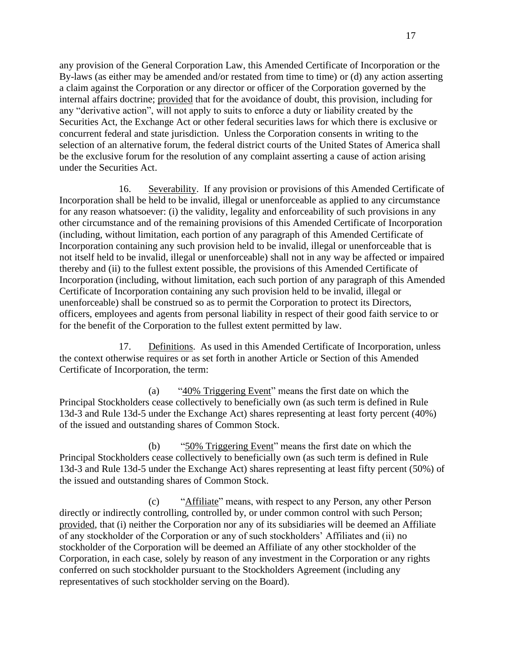any provision of the General Corporation Law, this Amended Certificate of Incorporation or the By-laws (as either may be amended and/or restated from time to time) or (d) any action asserting a claim against the Corporation or any director or officer of the Corporation governed by the internal affairs doctrine; provided that for the avoidance of doubt, this provision, including for any "derivative action", will not apply to suits to enforce a duty or liability created by the Securities Act, the Exchange Act or other federal securities laws for which there is exclusive or concurrent federal and state jurisdiction. Unless the Corporation consents in writing to the selection of an alternative forum, the federal district courts of the United States of America shall be the exclusive forum for the resolution of any complaint asserting a cause of action arising under the Securities Act.

16. Severability. If any provision or provisions of this Amended Certificate of Incorporation shall be held to be invalid, illegal or unenforceable as applied to any circumstance for any reason whatsoever: (i) the validity, legality and enforceability of such provisions in any other circumstance and of the remaining provisions of this Amended Certificate of Incorporation (including, without limitation, each portion of any paragraph of this Amended Certificate of Incorporation containing any such provision held to be invalid, illegal or unenforceable that is not itself held to be invalid, illegal or unenforceable) shall not in any way be affected or impaired thereby and (ii) to the fullest extent possible, the provisions of this Amended Certificate of Incorporation (including, without limitation, each such portion of any paragraph of this Amended Certificate of Incorporation containing any such provision held to be invalid, illegal or unenforceable) shall be construed so as to permit the Corporation to protect its Directors, officers, employees and agents from personal liability in respect of their good faith service to or for the benefit of the Corporation to the fullest extent permitted by law.

17. Definitions. As used in this Amended Certificate of Incorporation, unless the context otherwise requires or as set forth in another Article or Section of this Amended Certificate of Incorporation, the term:

(a) "40% Triggering Event" means the first date on which the Principal Stockholders cease collectively to beneficially own (as such term is defined in Rule 13d-3 and Rule 13d-5 under the Exchange Act) shares representing at least forty percent (40%) of the issued and outstanding shares of Common Stock.

(b) "50% Triggering Event" means the first date on which the Principal Stockholders cease collectively to beneficially own (as such term is defined in Rule 13d-3 and Rule 13d-5 under the Exchange Act) shares representing at least fifty percent (50%) of the issued and outstanding shares of Common Stock.

(c) "Affiliate" means, with respect to any Person, any other Person directly or indirectly controlling, controlled by, or under common control with such Person; provided, that (i) neither the Corporation nor any of its subsidiaries will be deemed an Affiliate of any stockholder of the Corporation or any of such stockholders' Affiliates and (ii) no stockholder of the Corporation will be deemed an Affiliate of any other stockholder of the Corporation, in each case, solely by reason of any investment in the Corporation or any rights conferred on such stockholder pursuant to the Stockholders Agreement (including any representatives of such stockholder serving on the Board).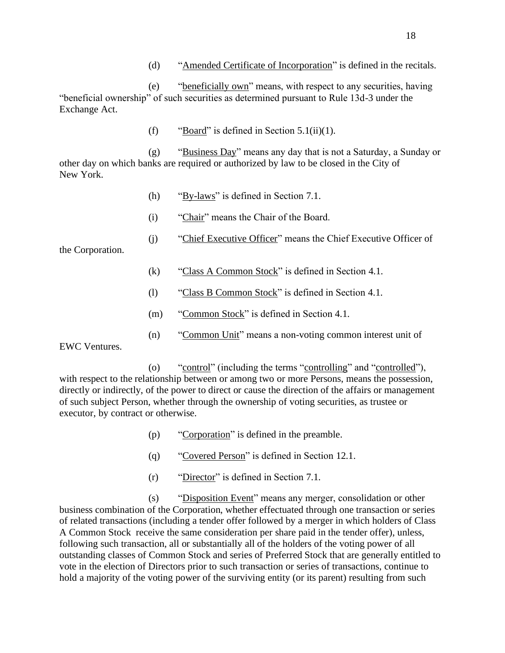(d) "Amended Certificate of Incorporation" is defined in the recitals.

(e) "beneficially own" means, with respect to any securities, having "beneficial ownership" of such securities as determined pursuant to Rule 13d-3 under the Exchange Act.

(f) "Board" is defined in Section  $5.1(ii)(1)$ .

(g) "Business Day" means any day that is not a Saturday, a Sunday or other day on which banks are required or authorized by law to be closed in the City of New York.

- (h) "By-laws" is defined in Section [7.1.](#page-4-1)
- (i) "Chair" means the Chair of the Board.
- (j) "Chief Executive Officer" means the Chief Executive Officer of

the Corporation.

- (k) "Class A Common Stock" is defined in Section [4.1.](#page-0-0)
- (l) "Class B Common Stock" is defined in Section [4.1.](#page-0-0)
- (m) "Common Stock" is defined in Section [4.1.](#page-0-0)
- (n) "Common Unit" means a non-voting common interest unit of

EWC Ventures.

(o) "control" (including the terms "controlling" and "controlled"), with respect to the relationship between or among two or more Persons, means the possession, directly or indirectly, of the power to direct or cause the direction of the affairs or management of such subject Person, whether through the ownership of voting securities, as trustee or executor, by contract or otherwise.

- (p) "Corporation" is defined in the preamble.
- (q) "Covered Person" is defined in Section [12.1.](#page-12-3)
- (r) "Director" is defined in Section [7.1.](#page-4-1)

(s) "Disposition Event" means any merger, consolidation or other business combination of the Corporation, whether effectuated through one transaction or series of related transactions (including a tender offer followed by a merger in which holders of Class A Common Stock receive the same consideration per share paid in the tender offer), unless, following such transaction, all or substantially all of the holders of the voting power of all outstanding classes of Common Stock and series of Preferred Stock that are generally entitled to vote in the election of Directors prior to such transaction or series of transactions, continue to hold a majority of the voting power of the surviving entity (or its parent) resulting from such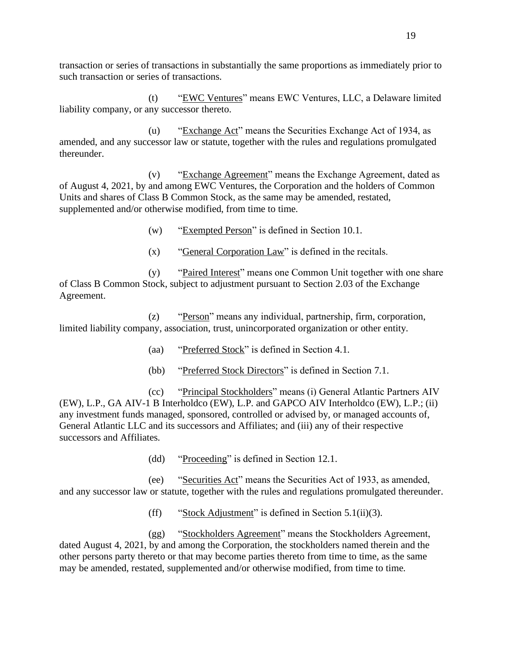transaction or series of transactions in substantially the same proportions as immediately prior to such transaction or series of transactions.

(t) "EWC Ventures" means EWC Ventures, LLC, a Delaware limited liability company, or any successor thereto.

(u) "Exchange Act" means the Securities Exchange Act of 1934, as amended, and any successor law or statute, together with the rules and regulations promulgated thereunder.

(v) "Exchange Agreement" means the Exchange Agreement, dated as of August 4, 2021, by and among EWC Ventures, the Corporation and the holders of Common Units and shares of Class B Common Stock, as the same may be amended, restated, supplemented and/or otherwise modified, from time to time.

(w) "Exempted Person" is defined in Section [10.1.](#page-10-1)

(x) "General Corporation Law" is defined in the recitals.

(y) "Paired Interest" means one Common Unit together with one share of Class B Common Stock, subject to adjustment pursuant to Section 2.03 of the Exchange Agreement.

(z) "Person" means any individual, partnership, firm, corporation, limited liability company, association, trust, unincorporated organization or other entity.

- (aa) "Preferred Stock" is defined in Section [4.1.](#page-0-0)
- (bb) "Preferred Stock Directors" is defined in Section [7.1.](#page-4-1)

(cc) "Principal Stockholders" means (i) General Atlantic Partners AIV (EW), L.P., GA AIV-1 B Interholdco (EW), L.P. and GAPCO AIV Interholdco (EW), L.P.; (ii) any investment funds managed, sponsored, controlled or advised by, or managed accounts of, General Atlantic LLC and its successors and Affiliates; and (iii) any of their respective successors and Affiliates.

(dd) "Proceeding" is defined in Section [12.1.](#page-12-3)

(ee) "Securities Act" means the Securities Act of 1933, as amended, and any successor law or statute, together with the rules and regulations promulgated thereunder.

(ff) "Stock Adjustment" is defined in Section [5.1\(ii\)\(3\).](#page-2-0)

(gg) "Stockholders Agreement" means the Stockholders Agreement, dated August 4, 2021, by and among the Corporation, the stockholders named therein and the other persons party thereto or that may become parties thereto from time to time, as the same may be amended, restated, supplemented and/or otherwise modified, from time to time.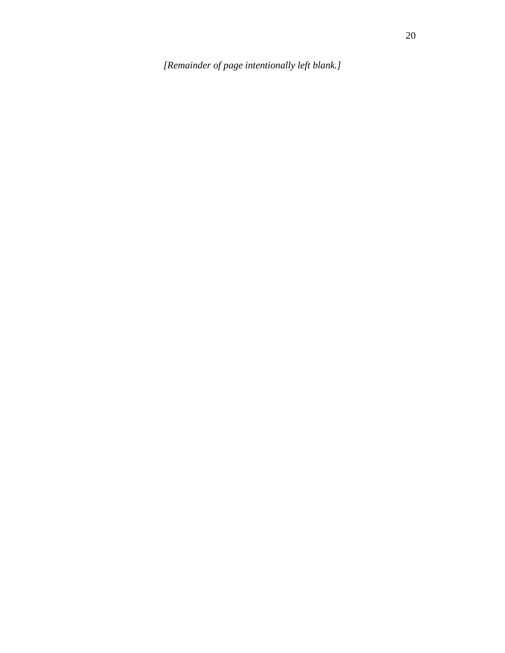*[Remainder of page intentionally left blank.]*